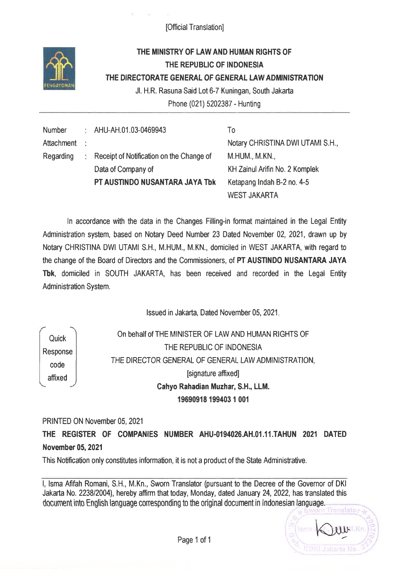[Official Translation]



## THE MINISTRY OF LAWAND HUMAN RIGHTS OF THE REPUBLIC OF INDONESIA THE DIRECTORATE GENERAL OF GENERAL LAWADMINISTRATION Jl. H.R. Rasuna Said Lot 6-7 Kuningan, South Jakarta

Phone (021) 5202387 - Hunting

To

Number AHU-AH.01.03-0469943 **Attachment**  $\frac{1}{2}$ Regarding Receipt of Notification on the Change of 好。 Data of Company of PT AUSTINDO NUSANTARA JAYA Tbk

Notary CHRISTINA DWI UTAMI S.H., M.HUM., M.KN., KH ZainulArifin No. 2 Komplek Ketapang lndah B-2 no.4-5 WEST JAKARTA

ln accordance with the data in the Changes Filling-in format maintained in the Legal Entity Administration system, based on Notary Deed Number 23 Dated November 02,2021, drawn up by Notary CHRISTINA DWI UTAMI S.H., M.HUM., M.KN., domiciled in WEST JAKARTA, with regard to the change of the Board of Directors and the Commissioners, of PT AUSTINDO NUSANTARA JAYA Tbk, domiciled in SOUTH JAKARTA, has been received and recorded in the Legal Entity Administration System.

lssued in Jakarta, Dated November 05, 2021

Quick Response code affixed

On behalf of THE MINISTER OF LAW AND HUMAN RIGHTS OF THE REPUBLIC OF INDONESIA THE DIRECTOR GENERAL OF GENERAL LAWADMINISTRATION, þignature afüxedl Cahyo Rahadian Muzhar, S.H., LLM. 19690918 199403 r <sup>001</sup>

PRINTED 0N November 05,2021

THE REGISTER OF COMPANIES NUMBER AHU.O194O26.AH.OI.1I.TAHUN 2021 DATED November 05,2021

This Notification only constitutes information, it is not a product of the State Administative.

l, lsma Afifah Romani, S.H., M.Kn., Sworn Translator (pursuant to the Decree of the Govemor of DKI Jakarta No. 2238/2004), hereby affirm that today, Monday, dated January 24,2022, has translated this document into English language corresponding to the original document in Indonesian language.

anslato, **WHIRE** Ni Jakarta No